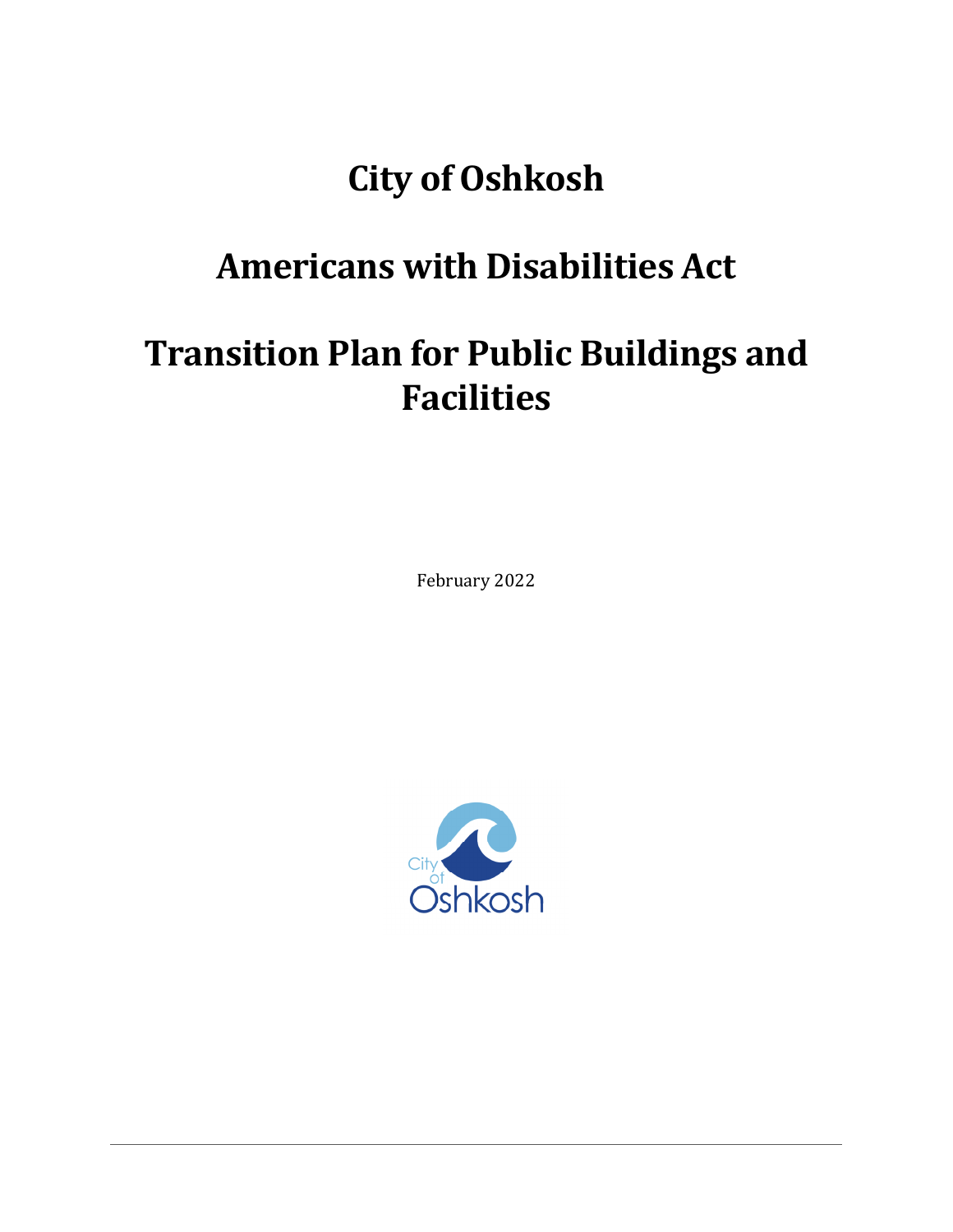# **City of Oshkosh**

# **Americans with Disabilities Act**

# **Transition Plan for Public Buildings and Facilities**

February 2022

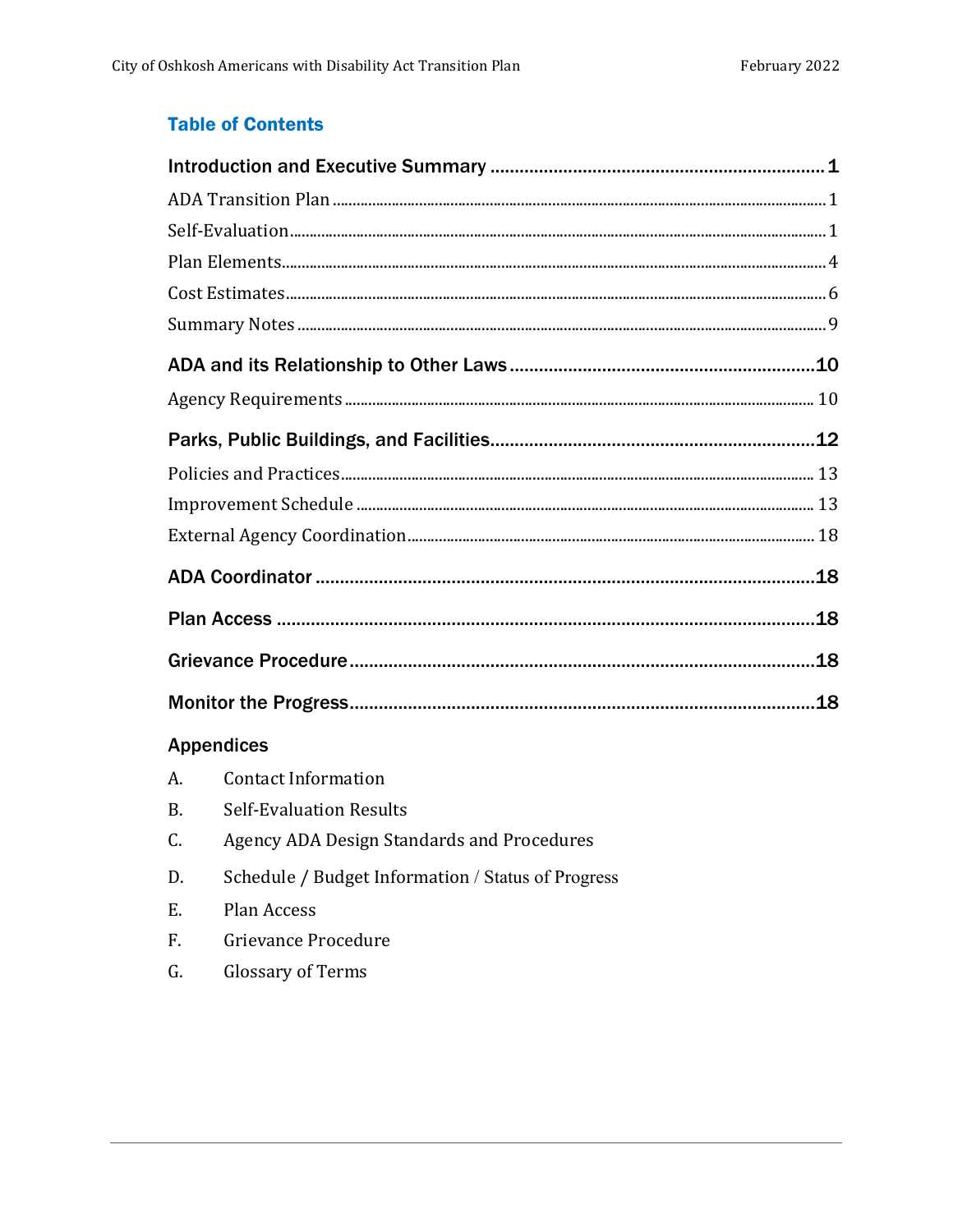### **Table of Contents**

| <b>Appendices</b> |                                                    |  |  |  |  |
|-------------------|----------------------------------------------------|--|--|--|--|
| A.                | <b>Contact Information</b>                         |  |  |  |  |
| <b>B.</b>         | <b>Self-Evaluation Results</b>                     |  |  |  |  |
| C.                | Agency ADA Design Standards and Procedures         |  |  |  |  |
| D.                | Schedule / Budget Information / Status of Progress |  |  |  |  |
| E.                | Plan Access                                        |  |  |  |  |
| F.                | Grievance Procedure                                |  |  |  |  |
|                   |                                                    |  |  |  |  |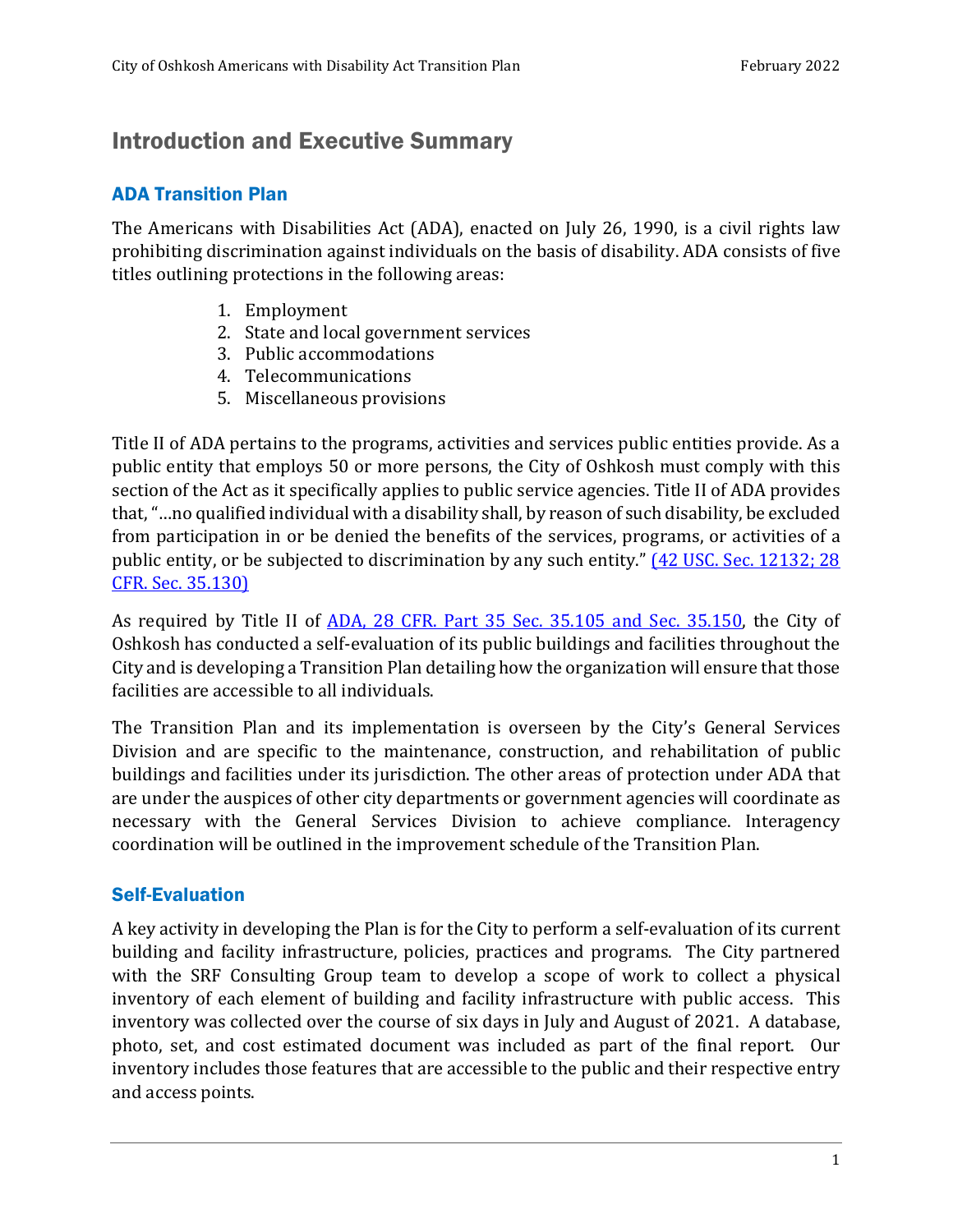# Introduction and Executive Summary

#### ADA Transition Plan

The Americans with Disabilities Act (ADA), enacted on July 26, 1990, is a civil rights law prohibiting discrimination against individuals on the basis of disability. ADA consists of five titles outlining protections in the following areas:

- 1. Employment
- 2. State and local government services
- 3. Public accommodations
- 4. Telecommunications
- 5. Miscellaneous provisions

Title II of ADA pertains to the programs, activities and services public entities provide. As a public entity that employs 50 or more persons, the City of Oshkosh must comply with this section of the Act as it specifically applies to public service agencies. Title II of ADA provides that, "…no qualified individual with a disability shall, by reason of such disability, be excluded from participation in or be denied the benefits of the services, programs, or activities of a public entity, or be subjected to discrimination by any such entity." (42 USC. Sec. 12132; 28 CFR. Sec. 35.130)

As required by Title II of ADA, 28 CFR. Part 35 Sec. 35.105 and Sec. 35.150, the City of Oshkosh has conducted a self-evaluation of its public buildings and facilities throughout the City and is developing a Transition Plan detailing how the organization will ensure that those facilities are accessible to all individuals.

The Transition Plan and its implementation is overseen by the City's General Services Division and are specific to the maintenance, construction, and rehabilitation of public buildings and facilities under its jurisdiction. The other areas of protection under ADA that are under the auspices of other city departments or government agencies will coordinate as necessary with the General Services Division to achieve compliance. Interagency coordination will be outlined in the improvement schedule of the Transition Plan.

#### Self-Evaluation

A key activity in developing the Plan is for the City to perform a self-evaluation of its current building and facility infrastructure, policies, practices and programs. The City partnered with the SRF Consulting Group team to develop a scope of work to collect a physical inventory of each element of building and facility infrastructure with public access. This inventory was collected over the course of six days in July and August of 2021. A database, photo, set, and cost estimated document was included as part of the final report. Our inventory includes those features that are accessible to the public and their respective entry and access points.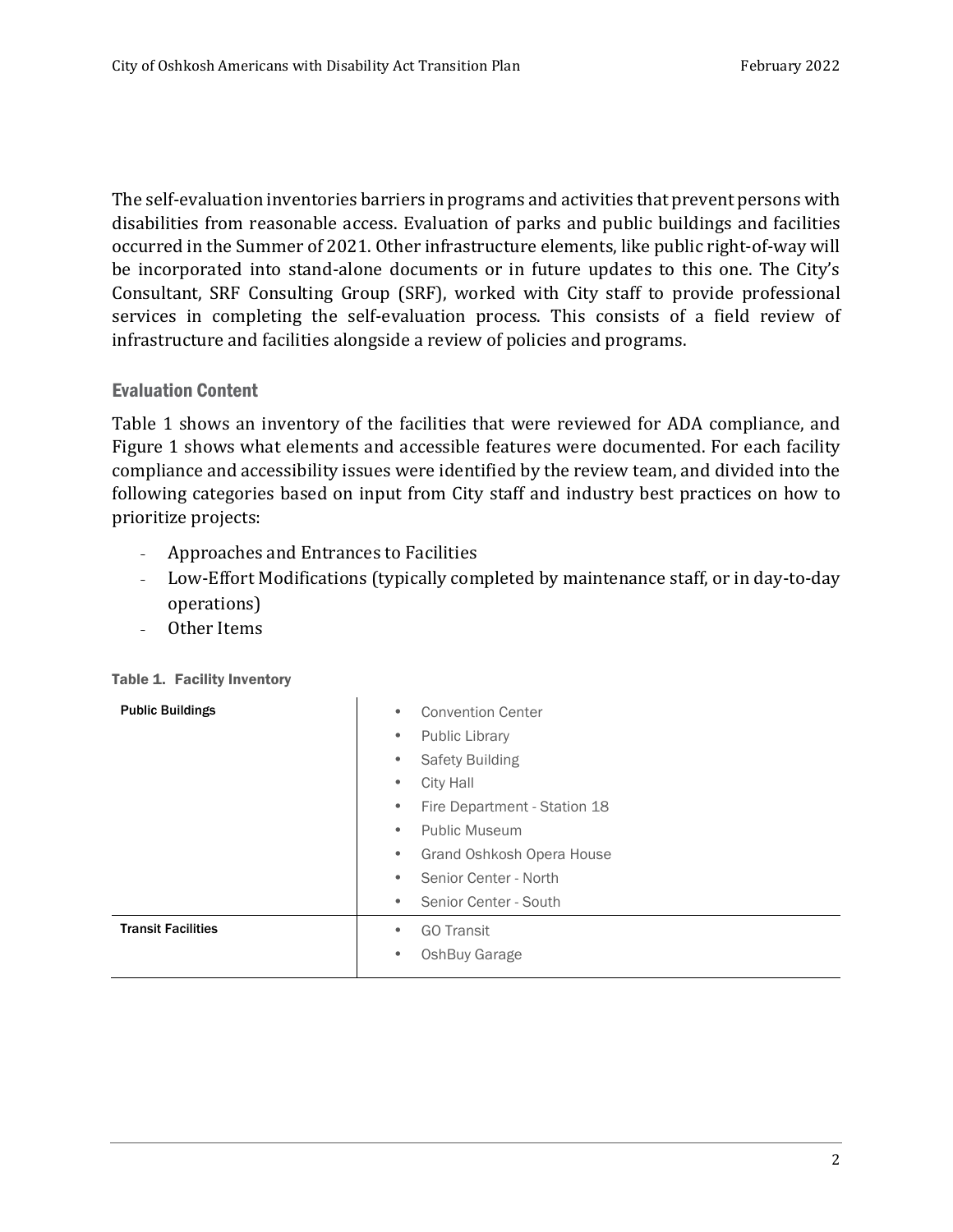The self-evaluation inventories barriers in programs and activities that prevent persons with disabilities from reasonable access. Evaluation of parks and public buildings and facilities occurred in the Summer of 2021. Other infrastructure elements, like public right-of-way will be incorporated into stand-alone documents or in future updates to this one. The City's Consultant, SRF Consulting Group (SRF), worked with City staff to provide professional services in completing the self-evaluation process. This consists of a field review of infrastructure and facilities alongside a review of policies and programs.

#### Evaluation Content

Table 1 shows an inventory of the facilities that were reviewed for ADA compliance, and Figure 1 shows what elements and accessible features were documented. For each facility compliance and accessibility issues were identified by the review team, and divided into the following categories based on input from City staff and industry best practices on how to prioritize projects:

- Approaches and Entrances to Facilities
- Low-Effort Modifications (typically completed by maintenance staff, or in day-to-day operations)
- Other Items

| <b>Public Buildings</b>   | <b>Convention Center</b><br>$\bullet$<br><b>Public Library</b><br>۰ |  |  |  |
|---------------------------|---------------------------------------------------------------------|--|--|--|
|                           | Safety Building<br>$\bullet$                                        |  |  |  |
|                           | City Hall<br>$\bullet$                                              |  |  |  |
|                           | Fire Department - Station 18<br>$\bullet$                           |  |  |  |
|                           | <b>Public Museum</b><br>$\bullet$                                   |  |  |  |
|                           | Grand Oshkosh Opera House<br>٠                                      |  |  |  |
|                           | Senior Center - North<br>$\bullet$                                  |  |  |  |
|                           | Senior Center - South<br>$\bullet$                                  |  |  |  |
| <b>Transit Facilities</b> | <b>GO Transit</b><br>$\bullet$                                      |  |  |  |
|                           | OshBuy Garage<br>$\bullet$                                          |  |  |  |

Table 1. Facility Inventory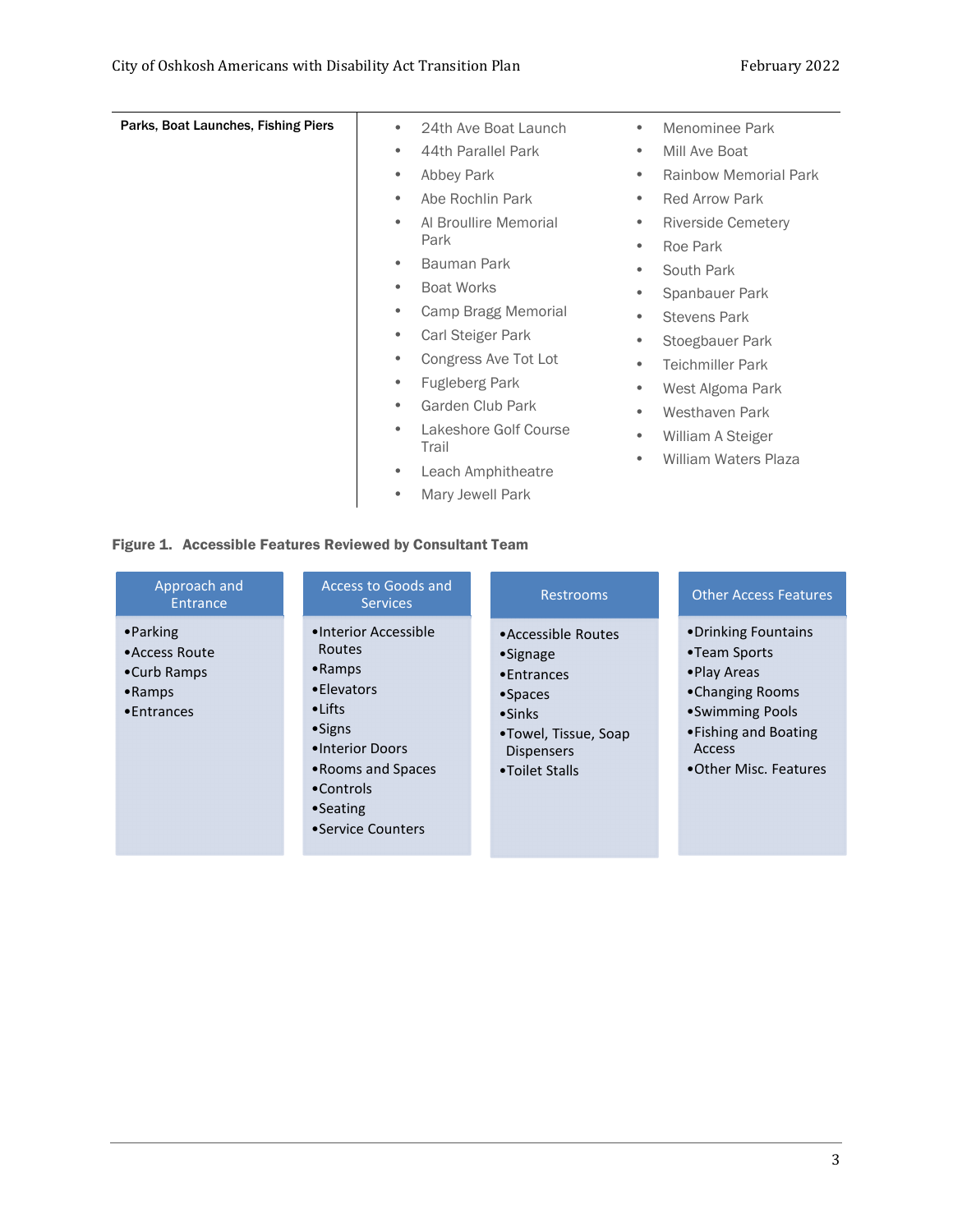| Parks, Boat Launches, Fishing Piers | 24th Ave Boat Launch               | Menominee Park<br>$\bullet$               |
|-------------------------------------|------------------------------------|-------------------------------------------|
|                                     | 44th Parallel Park<br>$\bullet$    | Mill Ave Boat<br>$\bullet$                |
|                                     | Abbey Park<br>$\bullet$            | <b>Rainbow Memorial Park</b><br>$\bullet$ |
|                                     | Abe Rochlin Park<br>$\bullet$      | <b>Red Arrow Park</b><br>$\bullet$        |
|                                     | Al Broullire Memorial<br>$\bullet$ | Riverside Cemetery<br>$\bullet$           |
|                                     | Park                               | Roe Park<br>$\bullet$                     |
|                                     | Bauman Park<br>$\bullet$           | South Park<br>$\bullet$                   |
|                                     | <b>Boat Works</b><br>$\bullet$     | Spanbauer Park<br>۰                       |
|                                     | Camp Bragg Memorial<br>$\bullet$   | <b>Stevens Park</b><br>$\bullet$          |
|                                     | Carl Steiger Park<br>$\bullet$     | Stoegbauer Park<br>$\bullet$              |
|                                     | Congress Ave Tot Lot<br>$\bullet$  | <b>Teichmiller Park</b><br>$\bullet$      |
|                                     | <b>Fugleberg Park</b><br>$\bullet$ | West Algoma Park<br>$\bullet$             |
|                                     | Garden Club Park<br>$\bullet$      | Westhaven Park<br>$\bullet$               |
|                                     | Lakeshore Golf Course<br>Trail     | William A Steiger<br>$\bullet$            |
|                                     | Leach Amphitheatre<br>$\bullet$    | <b>William Waters Plaza</b><br>$\bullet$  |
|                                     | Mary Jewell Park<br>$\bullet$      |                                           |

#### Figure 1. Accessible Features Reviewed by Consultant Team

| Approach and<br>Entrance                                                             | Access to Goods and<br><b>Services</b>                                                                                                                                                                  | <b>Restrooms</b>                                                                                                                                       | <b>Other Access Features</b>                                                                                                                           |
|--------------------------------------------------------------------------------------|---------------------------------------------------------------------------------------------------------------------------------------------------------------------------------------------------------|--------------------------------------------------------------------------------------------------------------------------------------------------------|--------------------------------------------------------------------------------------------------------------------------------------------------------|
| $\bullet$ Parking<br>• Access Route<br>•Curb Ramps<br>$\bullet$ Ramps<br>• Entrances | •Interior Accessible<br><b>Routes</b><br>$\bullet$ Ramps<br>• Elevators<br>$\bullet$ Lifts<br>$\bullet$ Signs<br>•Interior Doors<br>• Rooms and Spaces<br>•Controls<br>$•$ Seating<br>•Service Counters | •Accessible Routes<br>$\bullet$ Signage<br>• Entrances<br>$•$ Spaces<br>$\bullet$ Sinks<br>•Towel, Tissue, Soap<br><b>Dispensers</b><br>•Toilet Stalls | •Drinking Fountains<br>•Team Sports<br>• Play Areas<br>•Changing Rooms<br>• Swimming Pools<br>• Fishing and Boating<br>Access<br>•Other Misc. Features |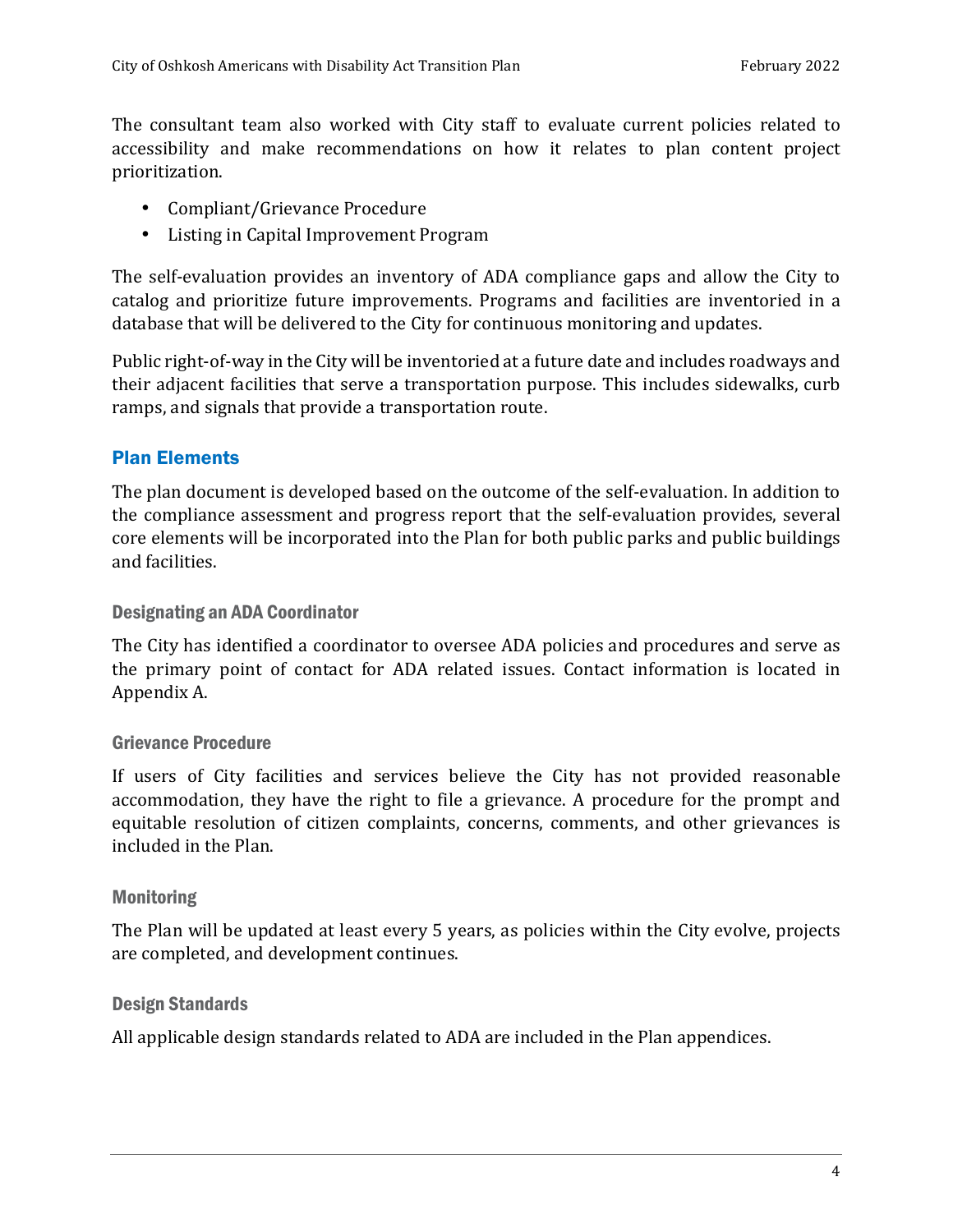The consultant team also worked with City staff to evaluate current policies related to accessibility and make recommendations on how it relates to plan content project prioritization.

- Compliant/Grievance Procedure
- Listing in Capital Improvement Program

The self-evaluation provides an inventory of ADA compliance gaps and allow the City to catalog and prioritize future improvements. Programs and facilities are inventoried in a database that will be delivered to the City for continuous monitoring and updates.

Public right-of-way in the City will be inventoried at a future date and includes roadways and their adjacent facilities that serve a transportation purpose. This includes sidewalks, curb ramps, and signals that provide a transportation route.

#### Plan Elements

The plan document is developed based on the outcome of the self-evaluation. In addition to the compliance assessment and progress report that the self-evaluation provides, several core elements will be incorporated into the Plan for both public parks and public buildings and facilities.

#### Designating an ADA Coordinator

The City has identified a coordinator to oversee ADA policies and procedures and serve as the primary point of contact for ADA related issues. Contact information is located in Appendix A.

#### Grievance Procedure

If users of City facilities and services believe the City has not provided reasonable accommodation, they have the right to file a grievance. A procedure for the prompt and equitable resolution of citizen complaints, concerns, comments, and other grievances is included in the Plan.

#### **Monitoring**

The Plan will be updated at least every 5 years, as policies within the City evolve, projects are completed, and development continues.

#### Design Standards

All applicable design standards related to ADA are included in the Plan appendices.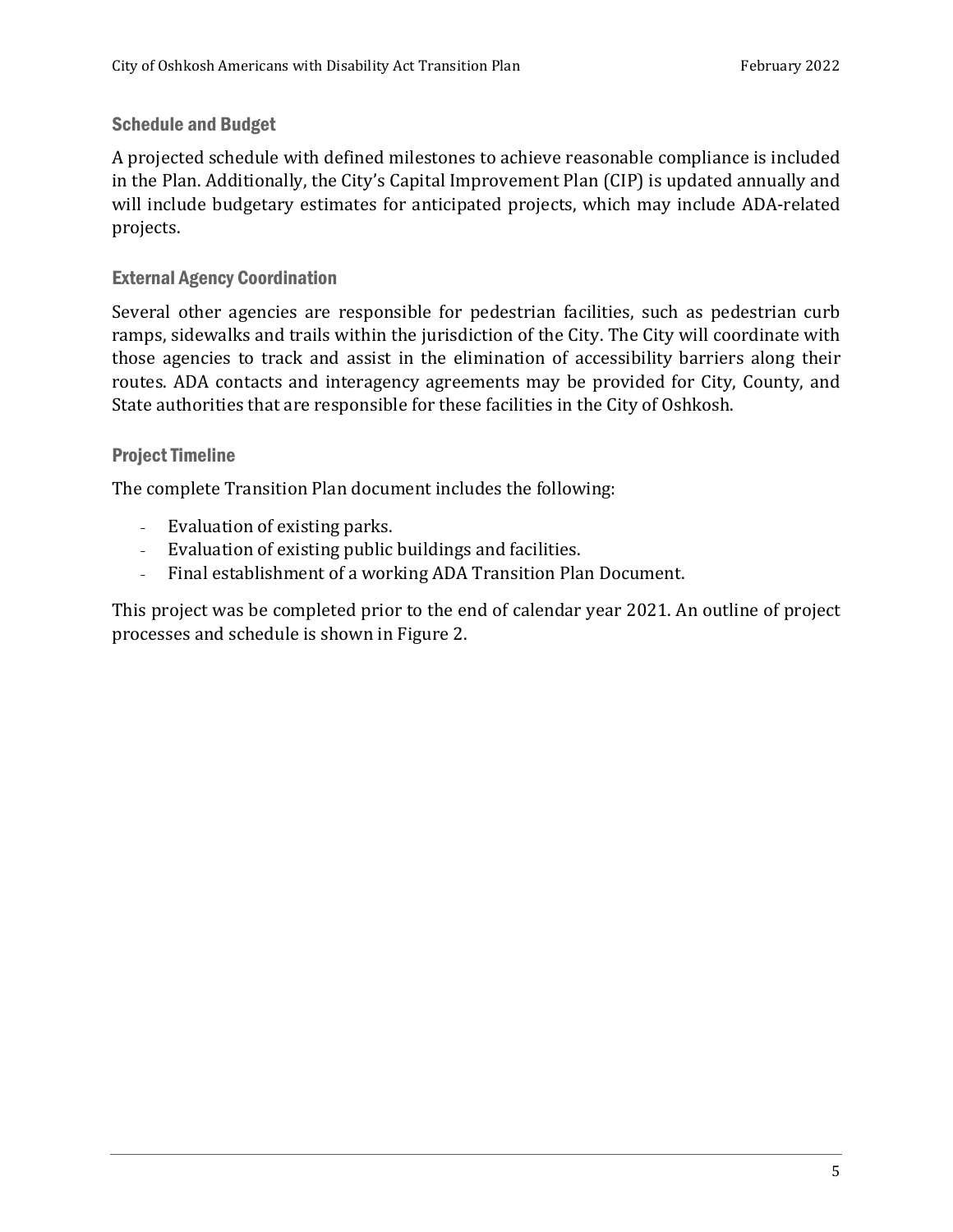#### Schedule and Budget

A projected schedule with defined milestones to achieve reasonable compliance is included in the Plan. Additionally, the City's Capital Improvement Plan (CIP) is updated annually and will include budgetary estimates for anticipated projects, which may include ADA-related projects.

#### External Agency Coordination

Several other agencies are responsible for pedestrian facilities, such as pedestrian curb ramps, sidewalks and trails within the jurisdiction of the City. The City will coordinate with those agencies to track and assist in the elimination of accessibility barriers along their routes. ADA contacts and interagency agreements may be provided for City, County, and State authorities that are responsible for these facilities in the City of Oshkosh.

#### Project Timeline

The complete Transition Plan document includes the following:

- Evaluation of existing parks.
- Evaluation of existing public buildings and facilities.
- Final establishment of a working ADA Transition Plan Document.

This project was be completed prior to the end of calendar year 2021. An outline of project processes and schedule is shown in Figure 2.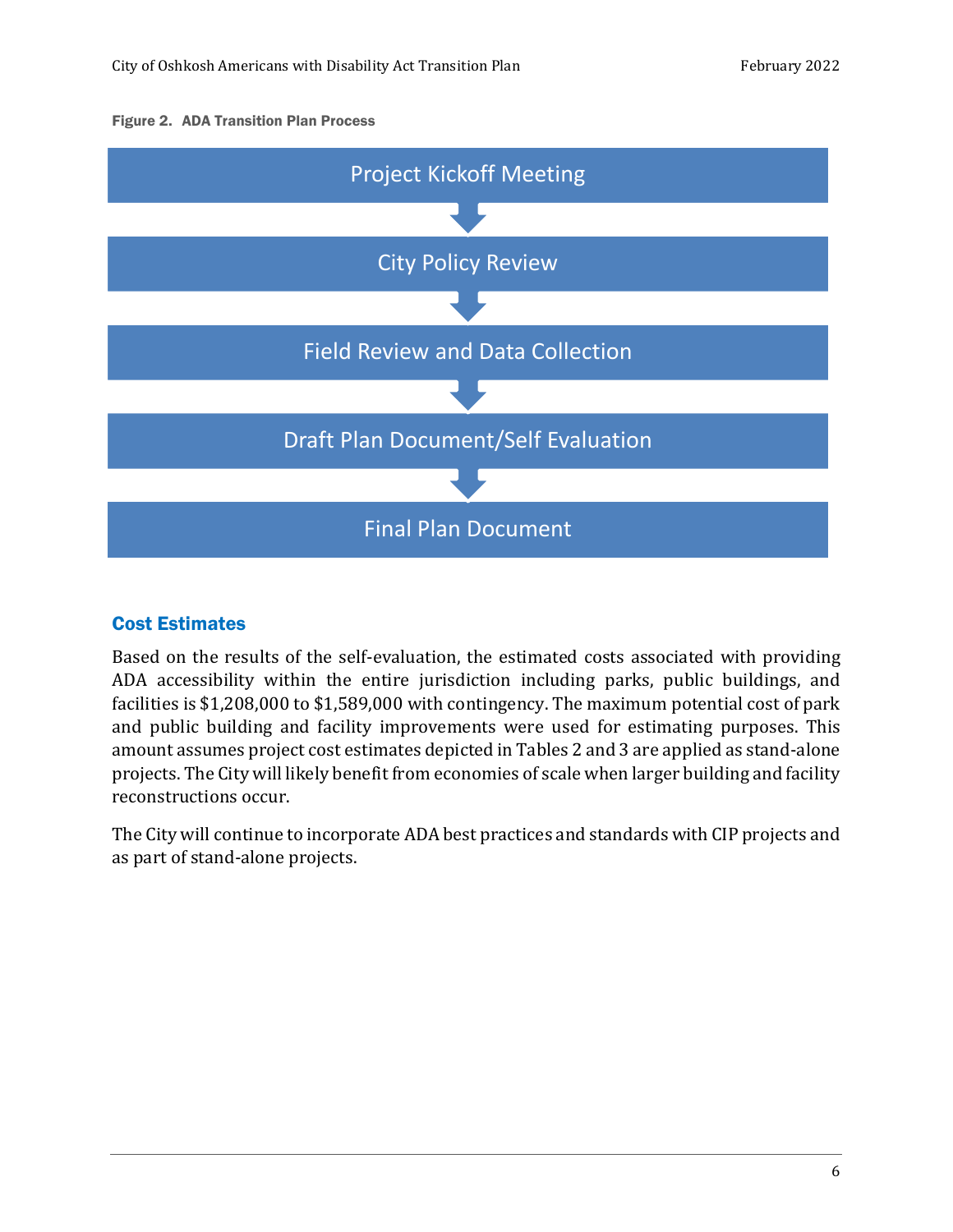#### Figure 2. ADA Transition Plan Process



#### Cost Estimates

Based on the results of the self-evaluation, the estimated costs associated with providing ADA accessibility within the entire jurisdiction including parks, public buildings, and facilities is \$1,208,000 to \$1,589,000 with contingency. The maximum potential cost of park and public building and facility improvements were used for estimating purposes. This amount assumes project cost estimates depicted in Tables 2 and 3 are applied as stand-alone projects. The City will likely benefit from economies of scale when larger building and facility reconstructions occur.

The City will continue to incorporate ADA best practices and standards with CIP projects and as part of stand-alone projects.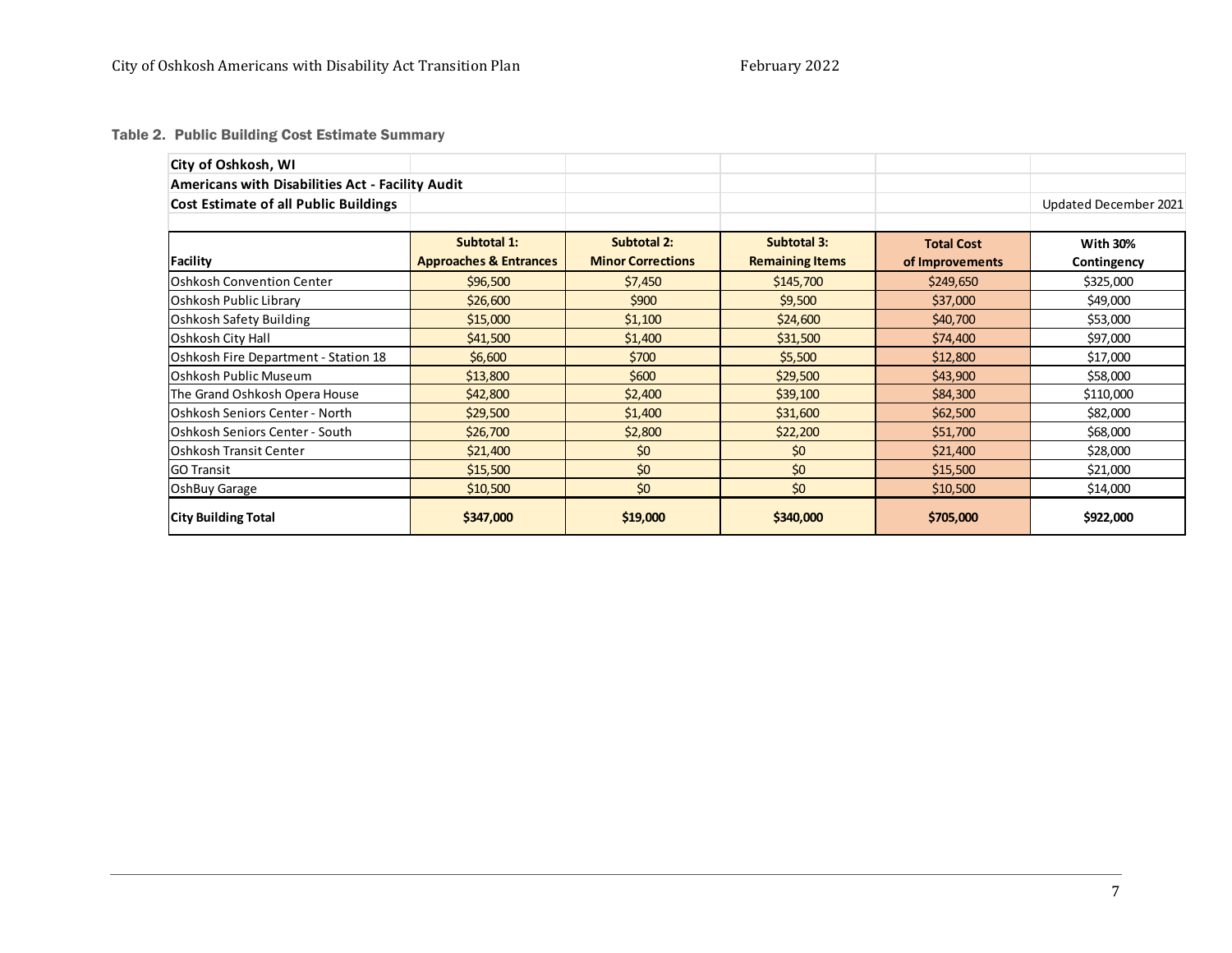Table 2. Public Building Cost Estimate Summary

| City of Oshkosh, WI                                     |                                   |                          |                        |                   |                       |
|---------------------------------------------------------|-----------------------------------|--------------------------|------------------------|-------------------|-----------------------|
| <b>Americans with Disabilities Act - Facility Audit</b> |                                   |                          |                        |                   |                       |
| <b>Cost Estimate of all Public Buildings</b>            |                                   |                          |                        |                   | Updated December 2021 |
|                                                         |                                   |                          |                        |                   |                       |
|                                                         | Subtotal 1:                       | <b>Subtotal 2:</b>       | <b>Subtotal 3:</b>     | <b>Total Cost</b> | <b>With 30%</b>       |
| Facility                                                | <b>Approaches &amp; Entrances</b> | <b>Minor Corrections</b> | <b>Remaining Items</b> | of Improvements   | Contingency           |
| <b>Oshkosh Convention Center</b>                        | \$96,500                          | \$7,450                  | \$145,700              | \$249,650         | \$325,000             |
| Oshkosh Public Library                                  | \$26,600                          | \$900                    | \$9,500                | \$37,000          | \$49,000              |
| Oshkosh Safety Building                                 | \$15,000                          | \$1,100                  | \$24,600               | \$40,700          | \$53,000              |
| Oshkosh City Hall                                       | \$41,500                          | \$1,400                  | \$31,500               | \$74,400          | \$97,000              |
| Oshkosh Fire Department - Station 18                    | \$6,600                           | \$700                    | \$5,500                | \$12,800          | \$17,000              |
| <b>Oshkosh Public Museum</b>                            | \$13,800                          | \$600                    | \$29,500               | \$43,900          | \$58,000              |
| The Grand Oshkosh Opera House                           | \$42,800                          | \$2,400                  | \$39,100               | \$84,300          | \$110,000             |
| Oshkosh Seniors Center - North                          | \$29,500                          | \$1,400                  | \$31,600               | \$62,500          | \$82,000              |
| Oshkosh Seniors Center - South                          | \$26,700                          | \$2,800                  | \$22,200               | \$51,700          | \$68,000              |
| lOshkosh Transit Center                                 | \$21,400                          | \$0                      | \$0                    | \$21,400          | \$28,000              |
| <b>GO Transit</b>                                       | \$15,500                          | \$0                      | \$0                    | \$15,500          | \$21,000              |
| OshBuy Garage                                           | \$10,500                          | \$0                      | \$0                    | \$10,500          | \$14,000              |
| <b>City Building Total</b>                              | \$347,000                         | \$19,000                 | \$340,000              | \$705,000         | \$922,000             |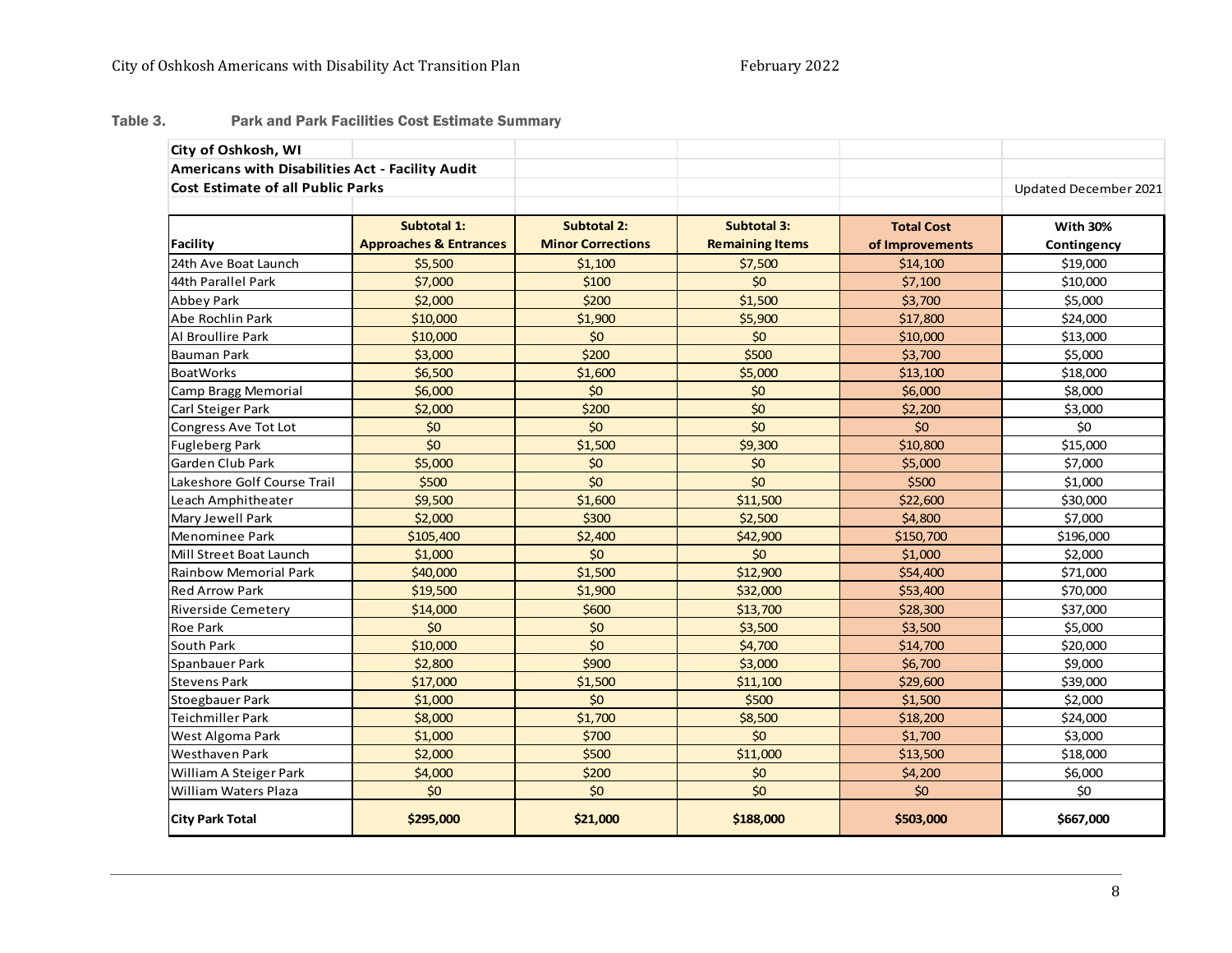#### Table 3.Park and Park Facilities Cost Estimate Summary

| City of Oshkosh, WI                              |                                   |                          |                        |                   |                       |
|--------------------------------------------------|-----------------------------------|--------------------------|------------------------|-------------------|-----------------------|
| Americans with Disabilities Act - Facility Audit |                                   |                          |                        |                   |                       |
| <b>Cost Estimate of all Public Parks</b>         |                                   |                          |                        |                   | Updated December 2021 |
|                                                  |                                   |                          |                        |                   |                       |
|                                                  | Subtotal 1:                       | <b>Subtotal 2:</b>       | <b>Subtotal 3:</b>     | <b>Total Cost</b> | <b>With 30%</b>       |
| <b>Facility</b>                                  | <b>Approaches &amp; Entrances</b> | <b>Minor Corrections</b> | <b>Remaining Items</b> | of Improvements   | Contingency           |
| 24th Ave Boat Launch                             | \$5,500                           | \$1,100                  | \$7,500                | \$14,100          | \$19,000              |
| 44th Parallel Park                               | \$7,000                           | \$100                    | \$0                    | \$7,100           | \$10,000              |
| Abbey Park                                       | \$2,000                           | \$200                    | \$1,500                | \$3,700           | \$5,000               |
| Abe Rochlin Park                                 | \$10,000                          | \$1,900                  | \$5,900                | \$17,800          | \$24,000              |
| Al Broullire Park                                | \$10,000                          | \$0                      | \$0                    | \$10,000          | \$13,000              |
| <b>Bauman Park</b>                               | \$3,000                           | \$200                    | \$500                  | \$3,700           | \$5,000               |
| <b>BoatWorks</b>                                 | \$6,500                           | \$1,600                  | \$5,000                | \$13,100          | \$18,000              |
| Camp Bragg Memorial                              | \$6,000                           | \$0                      | \$0                    | \$6,000           | \$8,000               |
| Carl Steiger Park                                | \$2,000                           | \$200                    | \$0                    | \$2,200           | \$3,000               |
| Congress Ave Tot Lot                             | \$0                               | \$0                      | \$0                    | \$0               | \$0                   |
| <b>Fugleberg Park</b>                            | \$0                               | \$1,500                  | \$9,300                | \$10,800          | \$15,000              |
| Garden Club Park                                 | \$5,000                           | \$0                      | \$0                    | \$5,000           | \$7,000               |
| Lakeshore Golf Course Trail                      | \$500                             | \$0                      | \$0                    | \$500             | \$1,000               |
| Leach Amphitheater                               | \$9,500                           | \$1,600                  | \$11,500               | \$22,600          | \$30,000              |
| Mary Jewell Park                                 | \$2,000                           | \$300                    | \$2,500                | \$4,800           | \$7,000               |
| Menominee Park                                   | \$105,400                         | \$2,400                  | \$42,900               | \$150,700         | \$196,000             |
| Mill Street Boat Launch                          | \$1,000                           | \$0                      | \$0                    | \$1,000           | \$2,000               |
| <b>Rainbow Memorial Park</b>                     | \$40,000                          | \$1,500                  | \$12,900               | \$54,400          | \$71,000              |
| <b>Red Arrow Park</b>                            | \$19,500                          | \$1,900                  | \$32,000               | \$53,400          | \$70,000              |
| Riverside Cemetery                               | \$14,000                          | \$600                    | \$13,700               | \$28,300          | \$37,000              |
| <b>Roe Park</b>                                  | \$0                               | \$0                      | \$3,500                | \$3,500           | \$5,000               |
| South Park                                       | \$10,000                          | \$0                      | \$4,700                | \$14,700          | \$20,000              |
| Spanbauer Park                                   | \$2,800                           | \$900                    | \$3,000                | \$6,700           | \$9,000               |
| <b>Stevens Park</b>                              | \$17,000                          | \$1,500                  | \$11,100               | \$29,600          | \$39,000              |
| Stoegbauer Park                                  | \$1,000                           | \$0                      | \$500                  | \$1,500           | \$2,000               |
| Teichmiller Park                                 | \$8,000                           | \$1,700                  | \$8,500                | \$18,200          | \$24,000              |
| West Algoma Park                                 | \$1,000                           | \$700                    | \$0                    | \$1,700           | \$3,000               |
| <b>Westhaven Park</b>                            | \$2,000                           | \$500                    | \$11,000               | \$13,500          | \$18,000              |
| William A Steiger Park                           | \$4,000                           | \$200                    | \$0                    | \$4,200           | \$6,000               |
| William Waters Plaza                             | \$0                               | \$0                      | \$0                    | \$0               | \$0                   |
| <b>City Park Total</b>                           | \$295,000                         | \$21,000                 | \$188,000              | \$503,000         | \$667,000             |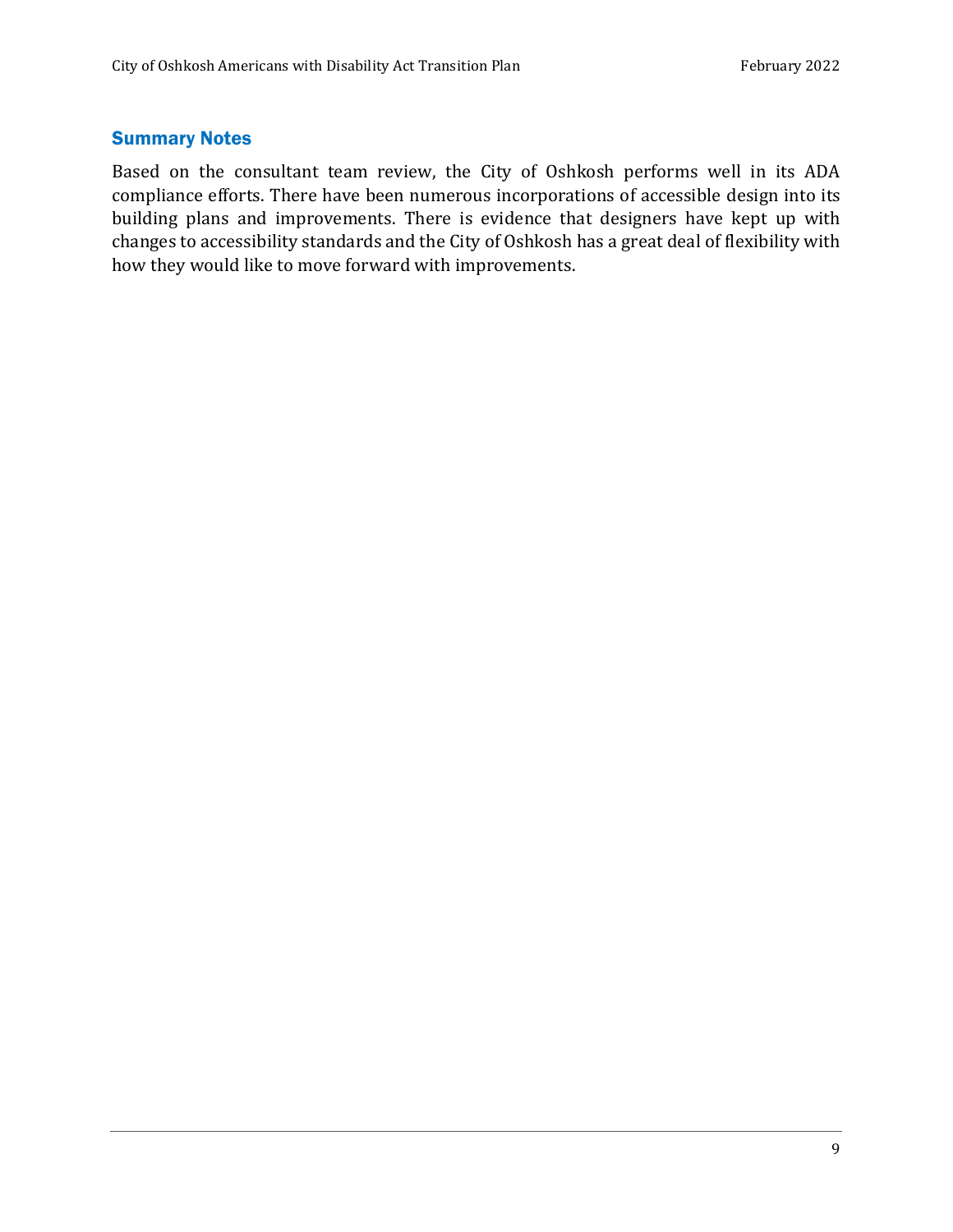#### Summary Notes

Based on the consultant team review, the City of Oshkosh performs well in its ADA compliance efforts. There have been numerous incorporations of accessible design into its building plans and improvements. There is evidence that designers have kept up with changes to accessibility standards and the City of Oshkosh has a great deal of flexibility with how they would like to move forward with improvements.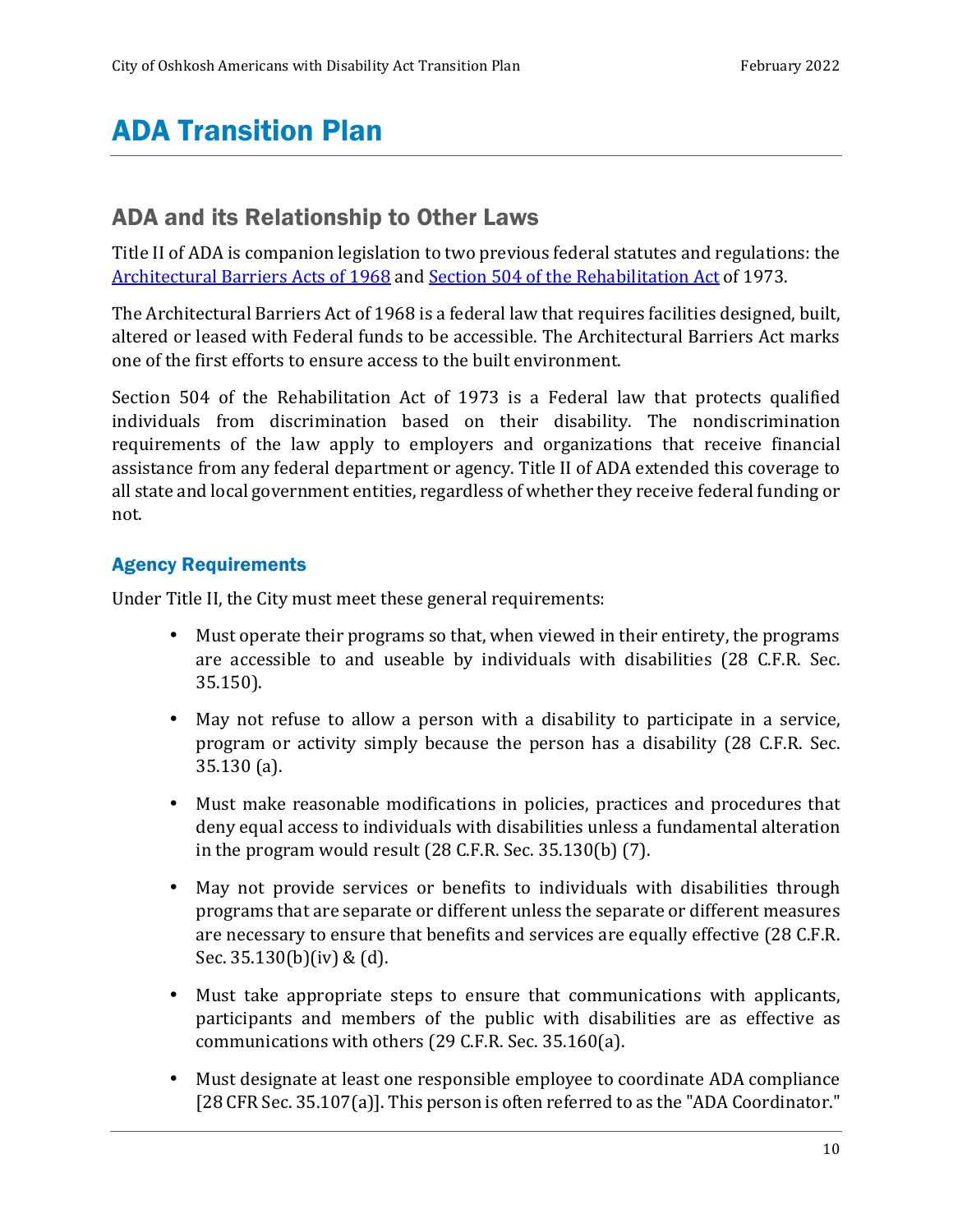# ADA Transition Plan

# ADA and its Relationship to Other Laws

Title II of ADA is companion legislation to two previous federal statutes and regulations: the Architectural Barriers Acts of 1968 and Section 504 of the Rehabilitation Act of 1973.

The Architectural Barriers Act of 1968 is a federal law that requires facilities designed, built, altered or leased with Federal funds to be accessible. The Architectural Barriers Act marks one of the first efforts to ensure access to the built environment.

Section 504 of the Rehabilitation Act of 1973 is a Federal law that protects qualified individuals from discrimination based on their disability. The nondiscrimination requirements of the law apply to employers and organizations that receive financial assistance from any federal department or agency. Title II of ADA extended this coverage to all state and local government entities, regardless of whether they receive federal funding or not.

#### Agency Requirements

Under Title II, the City must meet these general requirements:

- Must operate their programs so that, when viewed in their entirety, the programs are accessible to and useable by individuals with disabilities (28 C.F.R. Sec. 35.150).
- May not refuse to allow a person with a disability to participate in a service, program or activity simply because the person has a disability (28 C.F.R. Sec. 35.130 (a).
- Must make reasonable modifications in policies, practices and procedures that deny equal access to individuals with disabilities unless a fundamental alteration in the program would result (28 C.F.R. Sec. 35.130(b) (7).
- May not provide services or benefits to individuals with disabilities through programs that are separate or different unless the separate or different measures are necessary to ensure that benefits and services are equally effective (28 C.F.R. Sec. 35.130(b)(iv) & (d).
- Must take appropriate steps to ensure that communications with applicants, participants and members of the public with disabilities are as effective as communications with others (29 C.F.R. Sec. 35.160(a).
- Must designate at least one responsible employee to coordinate ADA compliance [28 CFR Sec. 35.107(a)]. This person is often referred to as the "ADA Coordinator."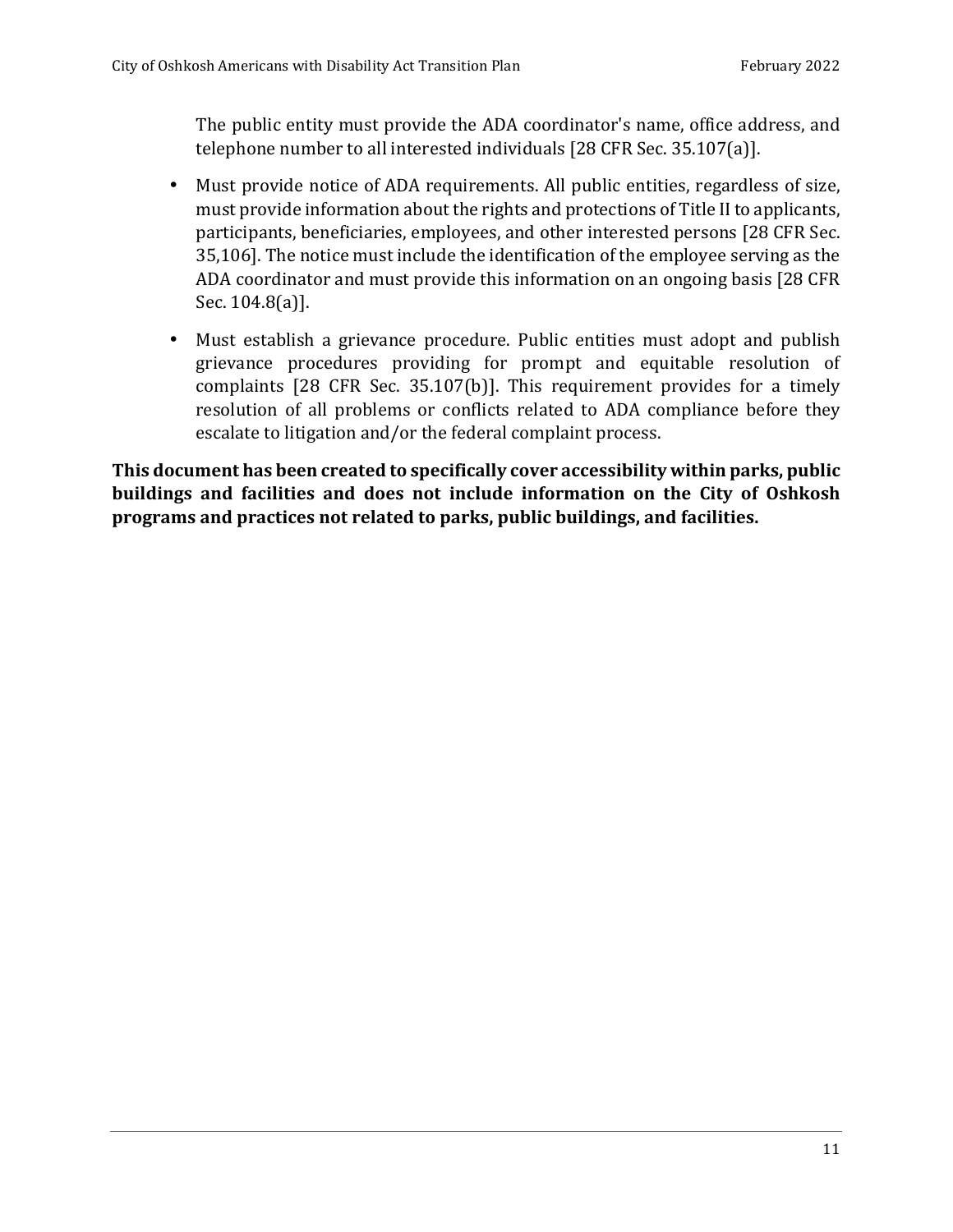The public entity must provide the ADA coordinator's name, office address, and telephone number to all interested individuals [28 CFR Sec. 35.107(a)].

- Must provide notice of ADA requirements. All public entities, regardless of size, must provide information about the rights and protections of Title II to applicants, participants, beneficiaries, employees, and other interested persons [28 CFR Sec. 35,106]. The notice must include the identification of the employee serving as the ADA coordinator and must provide this information on an ongoing basis [28 CFR Sec. 104.8(a)].
- Must establish a grievance procedure. Public entities must adopt and publish grievance procedures providing for prompt and equitable resolution of complaints [28 CFR Sec. 35.107(b)]. This requirement provides for a timely resolution of all problems or conflicts related to ADA compliance before they escalate to litigation and/or the federal complaint process.

**This document has been created to specifically cover accessibility within parks, public buildings and facilities and does not include information on the City of Oshkosh programs and practices not related to parks, public buildings, and facilities.**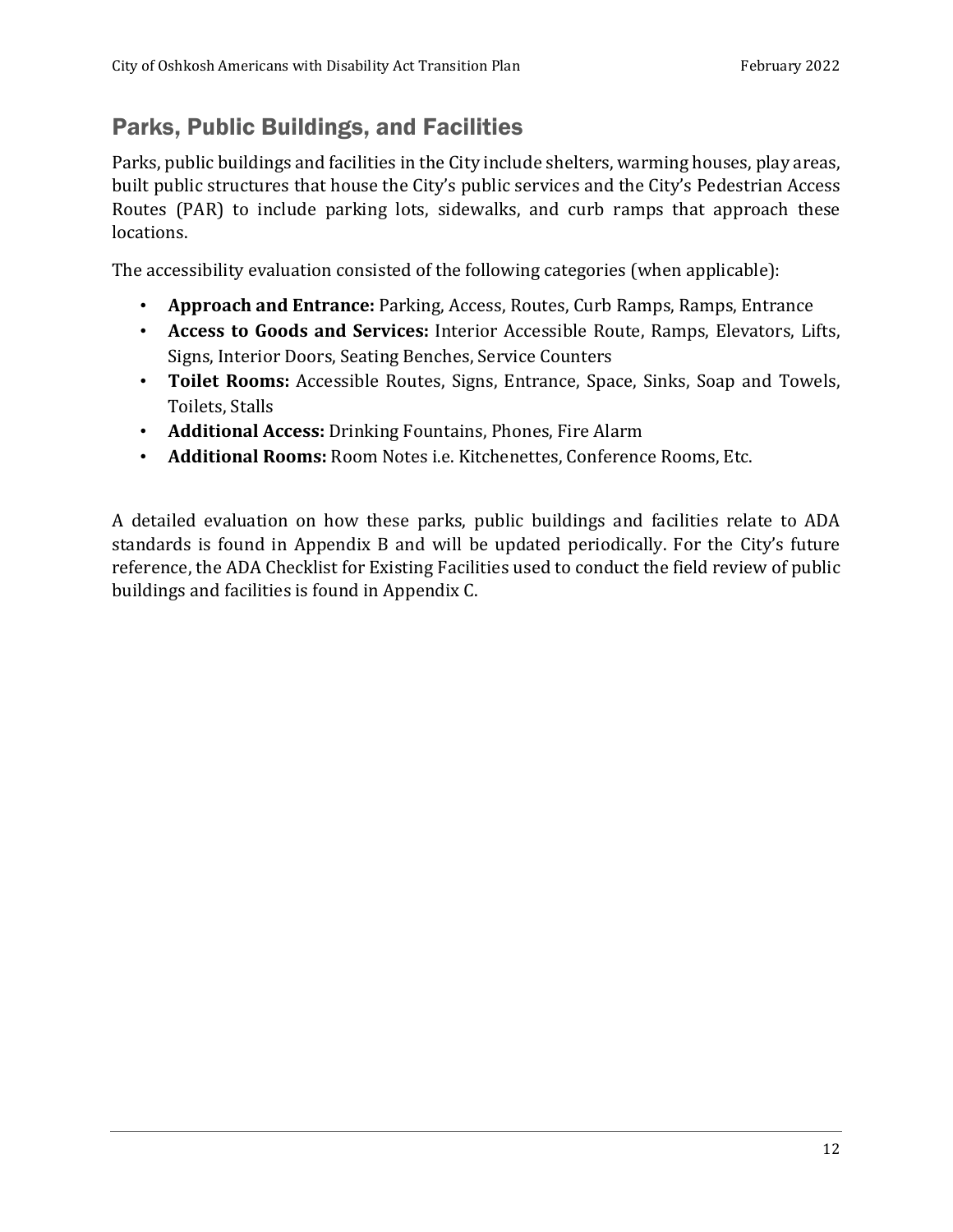# Parks, Public Buildings, and Facilities

Parks, public buildings and facilities in the City include shelters, warming houses, play areas, built public structures that house the City's public services and the City's Pedestrian Access Routes (PAR) to include parking lots, sidewalks, and curb ramps that approach these locations.

The accessibility evaluation consisted of the following categories (when applicable):

- **Approach and Entrance:** Parking, Access, Routes, Curb Ramps, Ramps, Entrance
- **Access to Goods and Services:** Interior Accessible Route, Ramps, Elevators, Lifts, Signs, Interior Doors, Seating Benches, Service Counters
- **Toilet Rooms:** Accessible Routes, Signs, Entrance, Space, Sinks, Soap and Towels, Toilets, Stalls
- **Additional Access:** Drinking Fountains, Phones, Fire Alarm
- **Additional Rooms:** Room Notes i.e. Kitchenettes, Conference Rooms, Etc.

A detailed evaluation on how these parks, public buildings and facilities relate to ADA standards is found in Appendix B and will be updated periodically. For the City's future reference, the ADA Checklist for Existing Facilities used to conduct the field review of public buildings and facilities is found in Appendix C.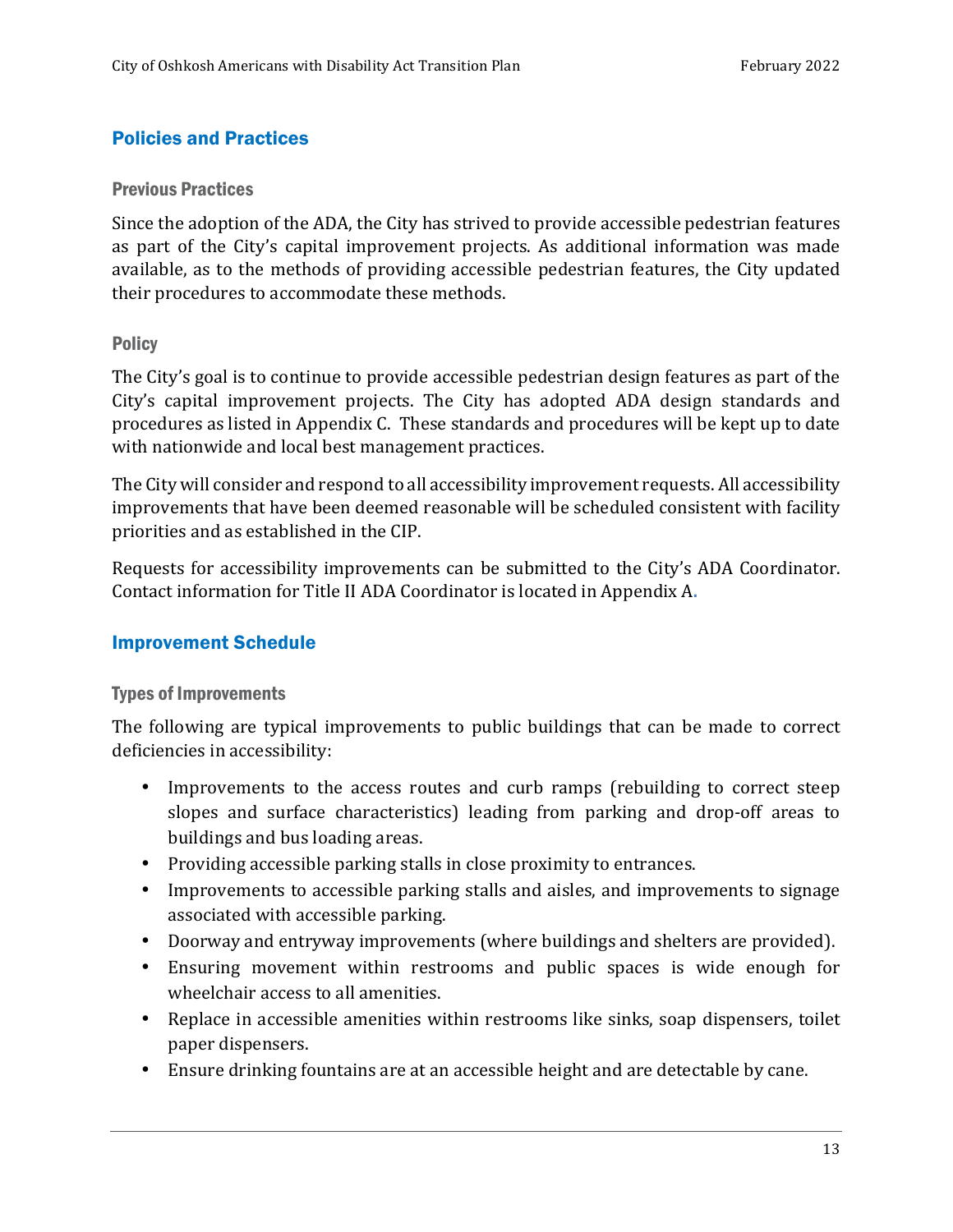#### Policies and Practices

#### Previous Practices

Since the adoption of the ADA, the City has strived to provide accessible pedestrian features as part of the City's capital improvement projects. As additional information was made available, as to the methods of providing accessible pedestrian features, the City updated their procedures to accommodate these methods.

#### **Policy**

The City's goal is to continue to provide accessible pedestrian design features as part of the City's capital improvement projects. The City has adopted ADA design standards and procedures as listed in Appendix C. These standards and procedures will be kept up to date with nationwide and local best management practices.

The City will consider and respond to all accessibility improvement requests. All accessibility improvements that have been deemed reasonable will be scheduled consistent with facility priorities and as established in the CIP.

Requests for accessibility improvements can be submitted to the City's ADA Coordinator. Contact information for Title II ADA Coordinator is located in Appendix A**.** 

#### Improvement Schedule

#### Types of Improvements

The following are typical improvements to public buildings that can be made to correct deficiencies in accessibility:

- Improvements to the access routes and curb ramps (rebuilding to correct steep slopes and surface characteristics) leading from parking and drop-off areas to buildings and bus loading areas.
- Providing accessible parking stalls in close proximity to entrances.
- Improvements to accessible parking stalls and aisles, and improvements to signage associated with accessible parking.
- Doorway and entryway improvements (where buildings and shelters are provided).
- Ensuring movement within restrooms and public spaces is wide enough for wheelchair access to all amenities.
- Replace in accessible amenities within restrooms like sinks, soap dispensers, toilet paper dispensers.
- Ensure drinking fountains are at an accessible height and are detectable by cane.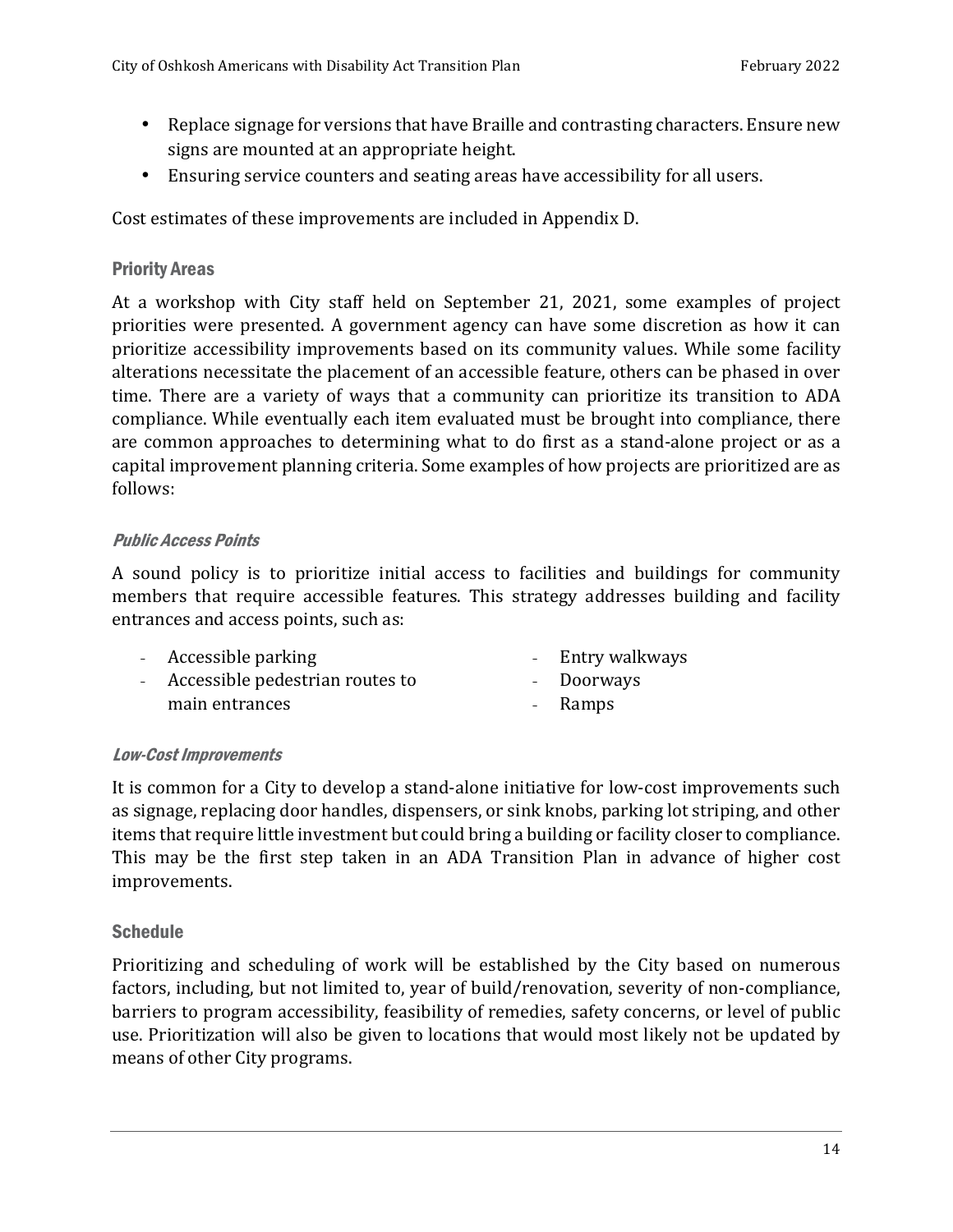- Replace signage for versions that have Braille and contrasting characters. Ensure new signs are mounted at an appropriate height.
- Ensuring service counters and seating areas have accessibility for all users.

Cost estimates of these improvements are included in Appendix D.

#### Priority Areas

At a workshop with City staff held on September 21, 2021, some examples of project priorities were presented. A government agency can have some discretion as how it can prioritize accessibility improvements based on its community values. While some facility alterations necessitate the placement of an accessible feature, others can be phased in over time. There are a variety of ways that a community can prioritize its transition to ADA compliance. While eventually each item evaluated must be brought into compliance, there are common approaches to determining what to do first as a stand-alone project or as a capital improvement planning criteria. Some examples of how projects are prioritized are as follows:

#### Public Access Points

A sound policy is to prioritize initial access to facilities and buildings for community members that require accessible features. This strategy addresses building and facility entrances and access points, such as:

- Accessible parking - Entry walkways
- Accessible pedestrian routes to main entrances
- **Doorways**
- Ramps

#### Low-Cost Improvements

It is common for a City to develop a stand-alone initiative for low-cost improvements such as signage, replacing door handles, dispensers, or sink knobs, parking lot striping, and other items that require little investment but could bring a building or facility closer to compliance. This may be the first step taken in an ADA Transition Plan in advance of higher cost improvements.

#### **Schedule**

Prioritizing and scheduling of work will be established by the City based on numerous factors, including, but not limited to, year of build/renovation, severity of non-compliance, barriers to program accessibility, feasibility of remedies, safety concerns, or level of public use. Prioritization will also be given to locations that would most likely not be updated by means of other City programs.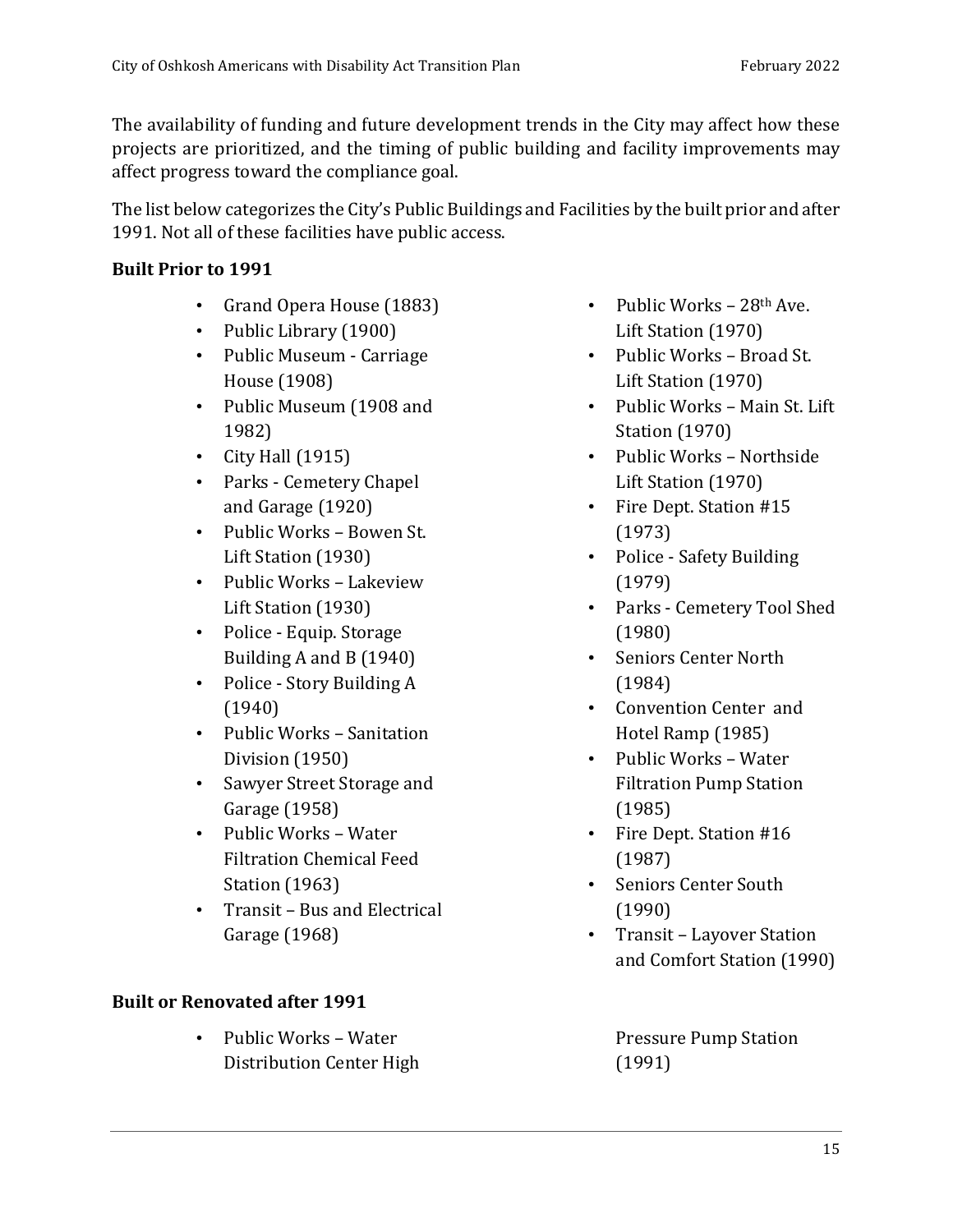The availability of funding and future development trends in the City may affect how these projects are prioritized, and the timing of public building and facility improvements may affect progress toward the compliance goal.

The list below categorizes the City's Public Buildings and Facilities by the built prior and after 1991. Not all of these facilities have public access.

#### **Built Prior to 1991**

- Grand Opera House (1883)
- Public Library (1900)
- Public Museum Carriage House (1908)
- Public Museum (1908 and 1982)
- City Hall (1915)
- Parks Cemetery Chapel and Garage (1920)
- Public Works Bowen St. Lift Station (1930)
- Public Works Lakeview Lift Station (1930)
- Police Equip. Storage Building A and B (1940)
- Police Story Building A (1940)
- Public Works Sanitation Division (1950)
- Sawyer Street Storage and Garage (1958)
- Public Works Water Filtration Chemical Feed Station (1963)
- Transit Bus and Electrical Garage (1968)

### **Built or Renovated after 1991**

• Public Works – Water Distribution Center High

- Public Works  $28<sup>th</sup>$  Ave. Lift Station (1970)
- Public Works Broad St. Lift Station (1970)
- Public Works Main St. Lift Station (1970)
- Public Works Northside Lift Station (1970)
- Fire Dept. Station #15 (1973)
- Police Safety Building (1979)
- Parks Cemetery Tool Shed (1980)
- Seniors Center North (1984)
- Convention Center and Hotel Ramp (1985)
- Public Works Water Filtration Pump Station (1985)
- Fire Dept. Station #16 (1987)
- Seniors Center South (1990)
- Transit Layover Station and Comfort Station (1990)

Pressure Pump Station (1991)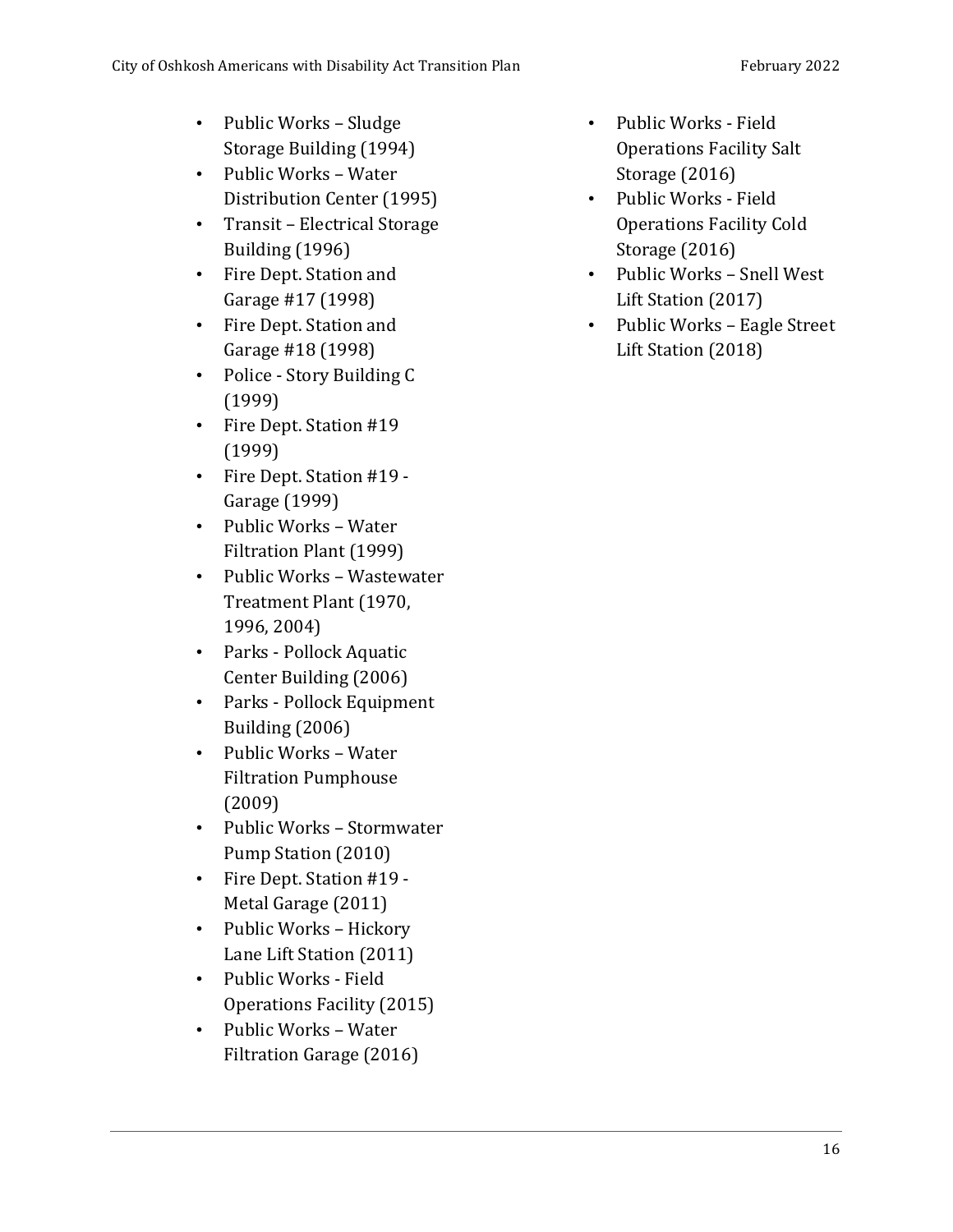- Public Works Sludge Storage Building (1994)
- Public Works Water Distribution Center (1995)
- Transit Electrical Storage Building (1996)
- Fire Dept. Station and Garage #17 (1998)
- Fire Dept. Station and Garage #18 (1998)
- Police Story Building C (1999)
- Fire Dept. Station #19 (1999)
- Fire Dept. Station #19 Garage (1999)
- Public Works Water Filtration Plant (1999)
- Public Works Wastewater Treatment Plant (1970, 1996, 2004)
- Parks Pollock Aquatic Center Building (2006)
- Parks Pollock Equipment Building (2006)
- Public Works Water Filtration Pumphouse (2009)
- Public Works Stormwater Pump Station (2010)
- Fire Dept. Station #19 Metal Garage (2011)
- Public Works Hickory Lane Lift Station (2011)
- Public Works Field Operations Facility (2015)
- Public Works Water Filtration Garage (2016)
- Public Works Field Operations Facility Salt Storage (2016)
- Public Works Field Operations Facility Cold Storage (2016)
- Public Works Snell West Lift Station (2017)
- Public Works Eagle Street Lift Station (2018)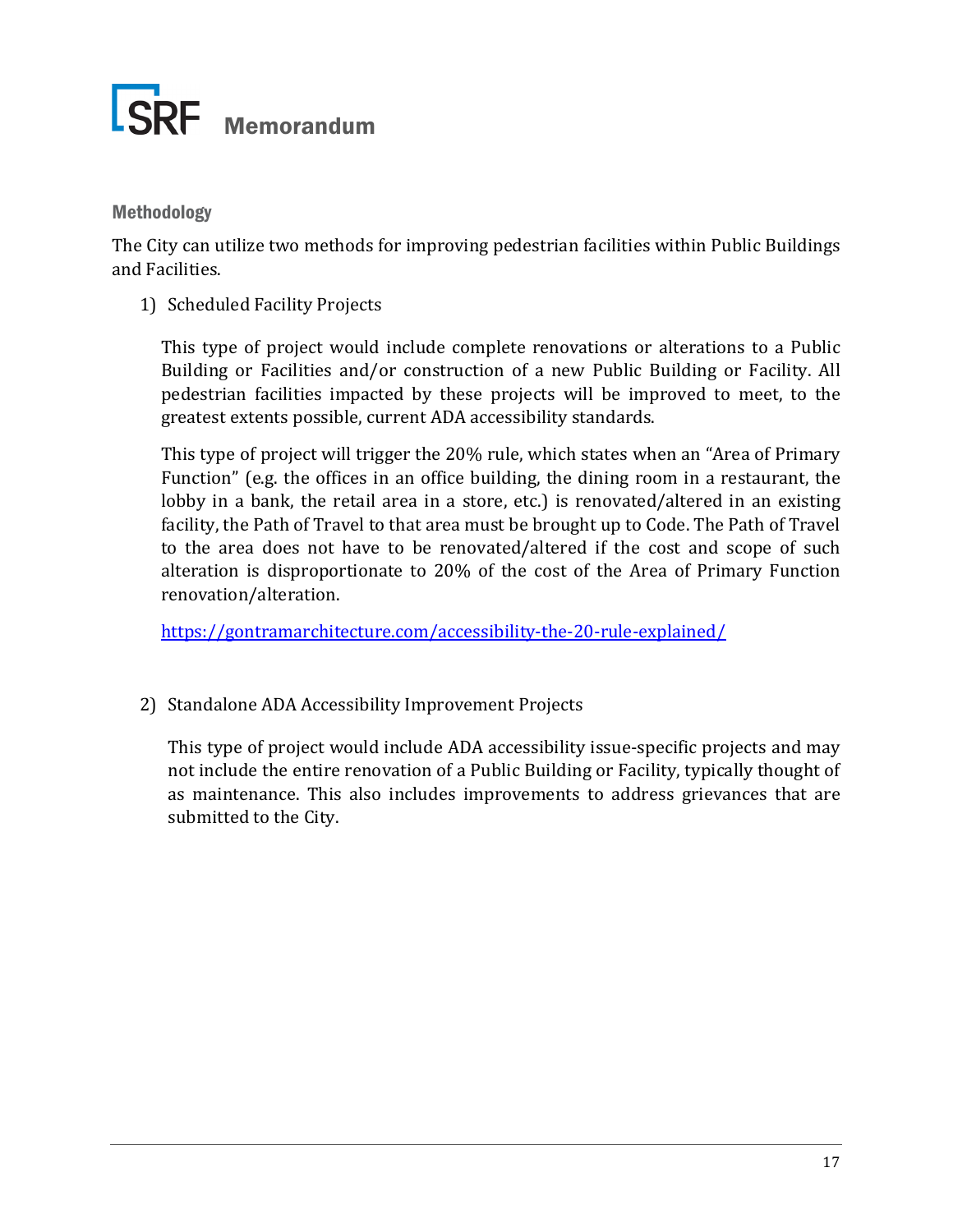

#### Methodology

The City can utilize two methods for improving pedestrian facilities within Public Buildings and Facilities.

1) Scheduled Facility Projects

This type of project would include complete renovations or alterations to a Public Building or Facilities and/or construction of a new Public Building or Facility. All pedestrian facilities impacted by these projects will be improved to meet, to the greatest extents possible, current ADA accessibility standards.

This type of project will trigger the 20% rule, which states when an "Area of Primary Function" (e.g. the offices in an office building, the dining room in a restaurant, the lobby in a bank, the retail area in a store, etc.) is renovated/altered in an existing facility, the Path of Travel to that area must be brought up to Code. The Path of Travel to the area does not have to be renovated/altered if the cost and scope of such alteration is disproportionate to 20% of the cost of the Area of Primary Function renovation/alteration.

https://gontramarchitecture.com/accessibility-the-20-rule-explained/

2) Standalone ADA Accessibility Improvement Projects

This type of project would include ADA accessibility issue-specific projects and may not include the entire renovation of a Public Building or Facility, typically thought of as maintenance. This also includes improvements to address grievances that are submitted to the City.